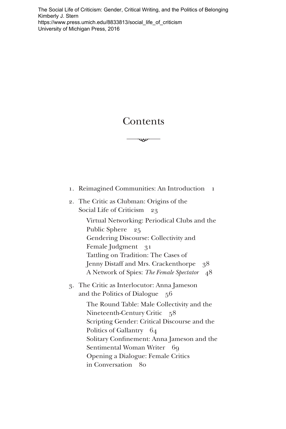[The Social Life of Criticism: Gender, Critical Writing, and the Politics of Belonging](https://www.press.umich.edu/8833813/social_life_of_criticism)  Kimberly J. Stern https://www.press.umich.edu/8833813/social\_life\_of\_criticism University of Michigan Press, 2016

## Contents

**ሥ** 

- 1. Reimagined Communities: An Introduction 1
- 2. The Critic as Clubman: Origins of the Social Life of Criticism 23

Virtual Networking: Periodical Clubs and the Gendering Discourse: Collectivity and Tattling on Tradition: The Cases of Public Sphere 25 Female Judgment 31 Jenny Distaff and Mrs. Crackenthorpe 38 A Network of Spies: *The Female Spectator* 48

3. The Critic as Interlocutor: Anna Jameson and the Politics of Dialogue 56

> The Round Table: Male Collectivity and the Scripting Gender: Critical Discourse and the Solitary Confinement: Anna Jameson and the Opening a Dialogue: Female Critics Nineteenth-Century Critic 58 Politics of Gallantry 64 Sentimental Woman Writer 69 in Conversation 80